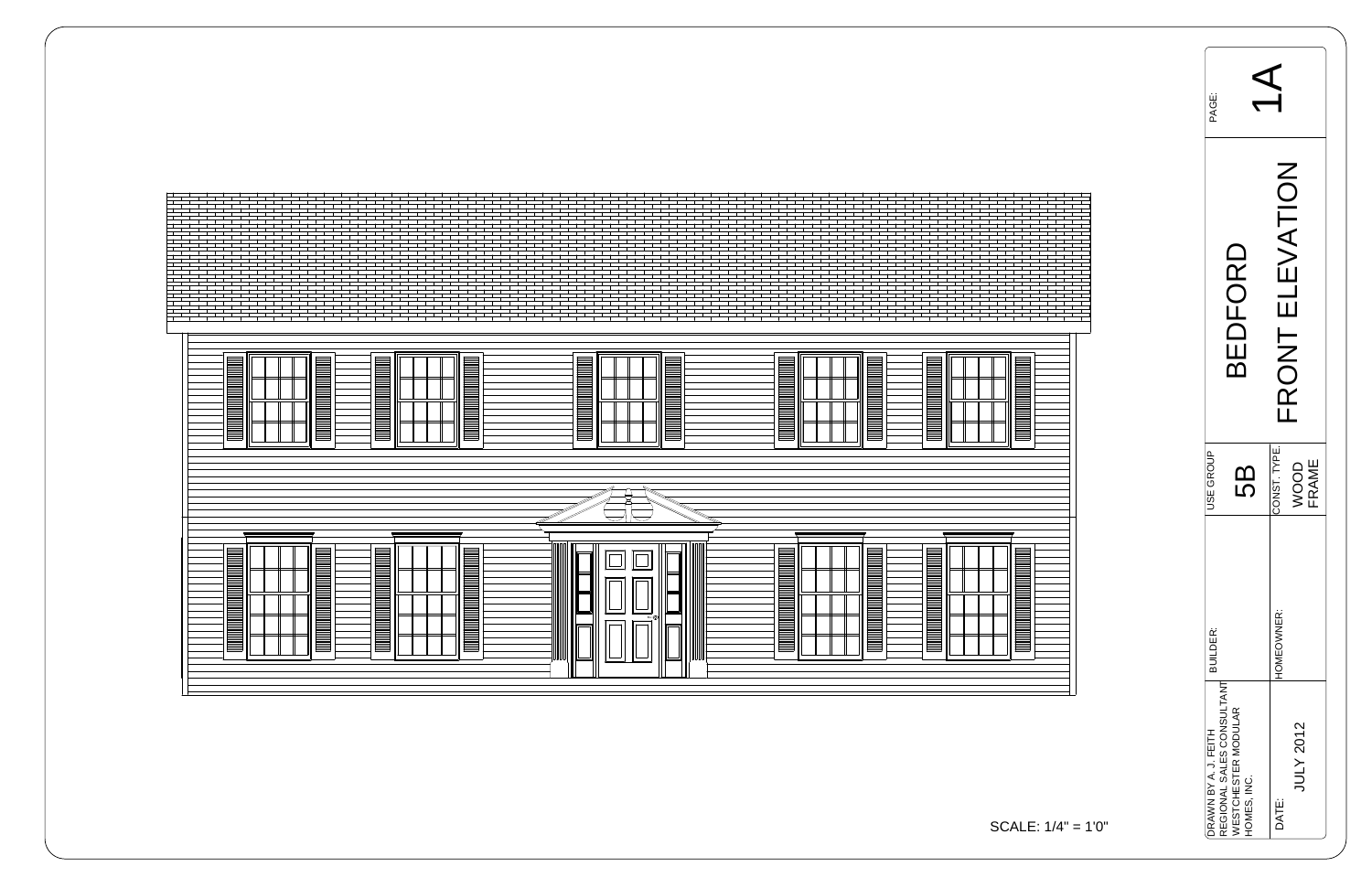

SC<sub>/</sub>

| PAGE:                                             |                                    |              |                                                     |
|---------------------------------------------------|------------------------------------|--------------|-----------------------------------------------------|
|                                                   | BEDFORD                            |              | EVATION<br>$\overrightarrow{\mathbf{\Xi}}$<br>FRONT |
| <b>JSE GROUP</b>                                  | 5<br>5                             | CONST. TYPE. | WOOD<br>FRAME                                       |
| <b>BUILDER:</b>                                   |                                    | HOMEOWNER:   |                                                     |
| REGIONAL SALES CONSULTANT<br>DRAWN BY A. J. FEITH | WESTCHESTER MODULAR<br>HOMES, INC. | DATE:        | <b>JULY 2012</b>                                    |

$$
ALE: 1/4" = 1'0"
$$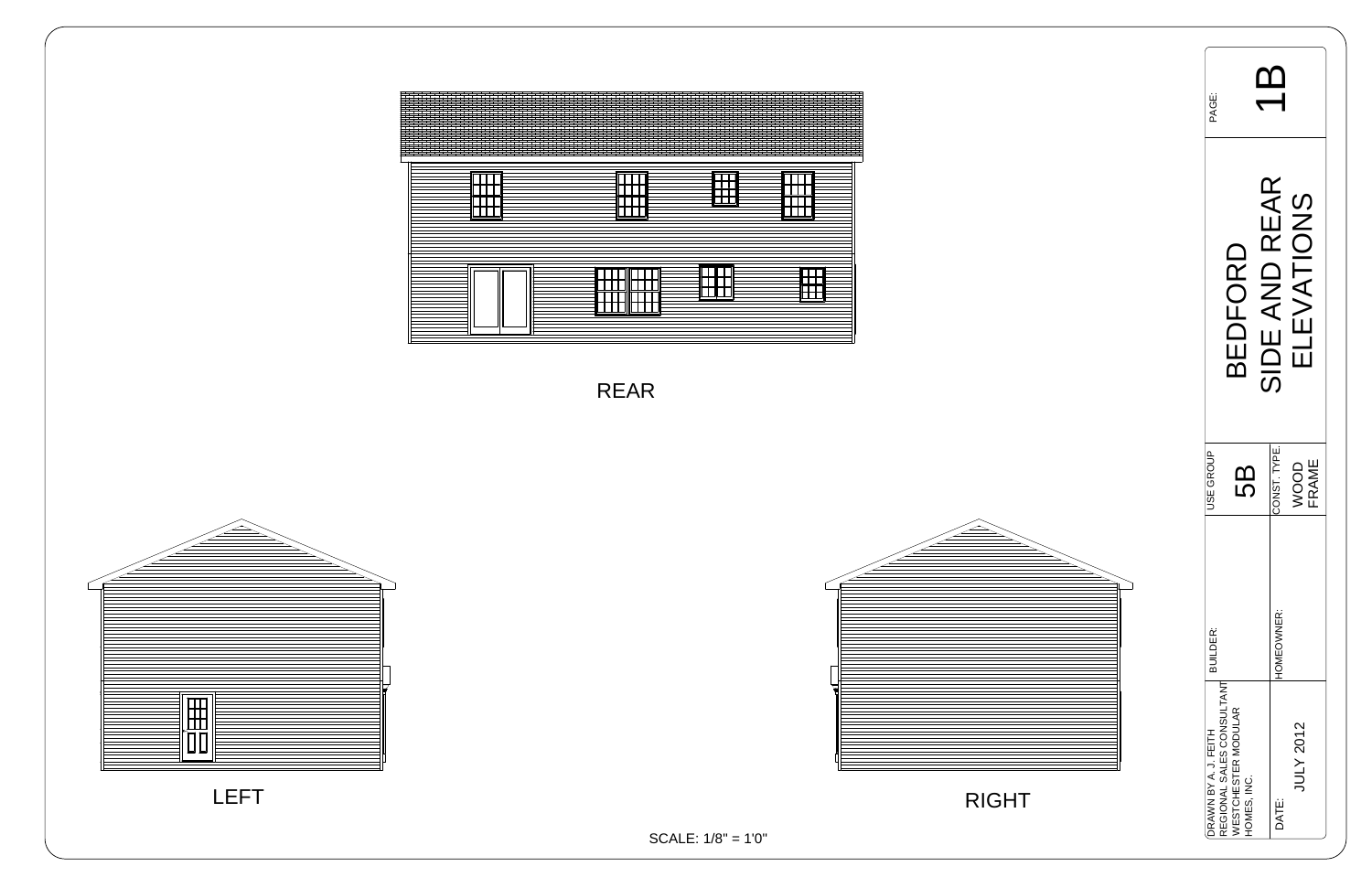| PAGE:                |                                                                       |  |               |                                                 |  |  |
|----------------------|-----------------------------------------------------------------------|--|---------------|-------------------------------------------------|--|--|
|                      | BEDFORD                                                               |  | SIDE AND REAR | LEVATIONS<br>$\overline{\overline{\mathbf{u}}}$ |  |  |
| <b>JSE GROUP</b>     | เกี                                                                   |  | CONST. TYPE.  | <b>FRAME</b><br>VOOD                            |  |  |
| <b>BUILDER:</b>      |                                                                       |  | HOMEOWNER:    |                                                 |  |  |
| DRAWN BY A. J. FEITH | EGIONAL SALES CONSULTANT<br><b>VESTCHESTER MODULAR</b><br>HOMES, INC. |  | DATE:         | JULY 2012                                       |  |  |





SCALE: 1/8" = 1'0"

RIGHT



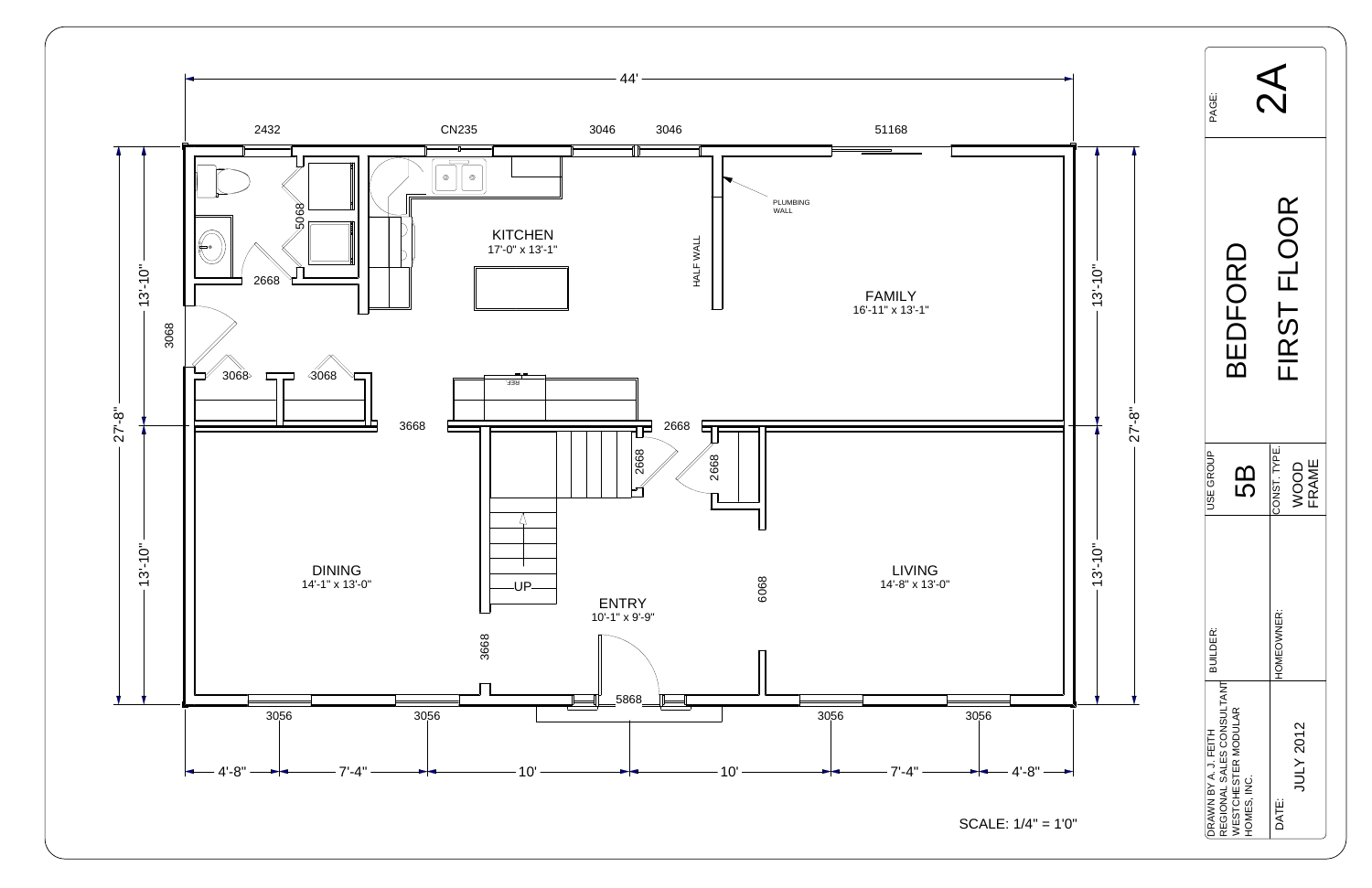